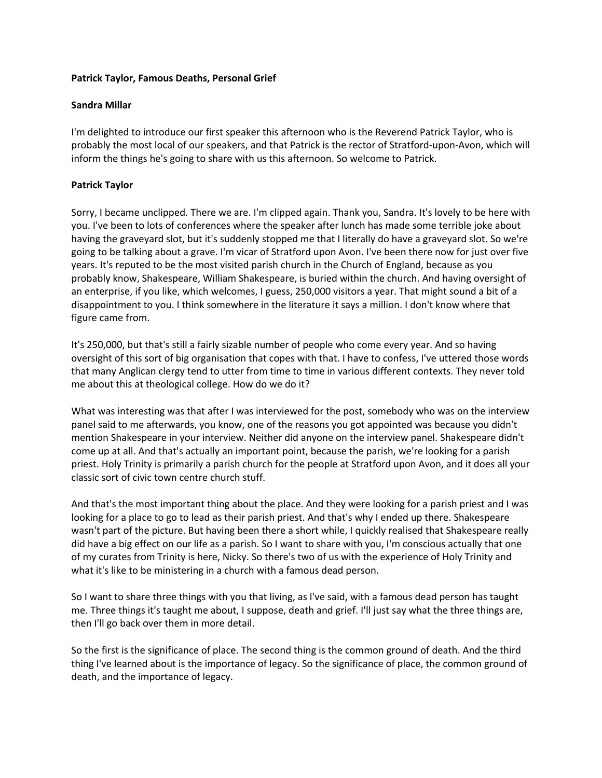## **Patrick Taylor, Famous Deaths, Personal Grief**

## **Sandra Millar**

I'm delighted to introduce our first speaker this afternoon who is the Reverend Patrick Taylor, who is probably the most local of our speakers, and that Patrick is the rector of Stratford-upon-Avon, which will inform the things he's going to share with us this afternoon. So welcome to Patrick.

## **Patrick Taylor**

Sorry, I became unclipped. There we are. I'm clipped again. Thank you, Sandra. It's lovely to be here with you. I've been to lots of conferences where the speaker after lunch has made some terrible joke about having the graveyard slot, but it's suddenly stopped me that I literally do have a graveyard slot. So we're going to be talking about a grave. I'm vicar of Stratford upon Avon. I've been there now for just over five years. It's reputed to be the most visited parish church in the Church of England, because as you probably know, Shakespeare, William Shakespeare, is buried within the church. And having oversight of an enterprise, if you like, which welcomes, I guess, 250,000 visitors a year. That might sound a bit of a disappointment to you. I think somewhere in the literature it says a million. I don't know where that figure came from.

It's 250,000, but that's still a fairly sizable number of people who come every year. And so having oversight of this sort of big organisation that copes with that. I have to confess, I've uttered those words that many Anglican clergy tend to utter from time to time in various different contexts. They never told me about this at theological college. How do we do it?

What was interesting was that after I was interviewed for the post, somebody who was on the interview panel said to me afterwards, you know, one of the reasons you got appointed was because you didn't mention Shakespeare in your interview. Neither did anyone on the interview panel. Shakespeare didn't come up at all. And that's actually an important point, because the parish, we're looking for a parish priest. Holy Trinity is primarily a parish church for the people at Stratford upon Avon, and it does all your classic sort of civic town centre church stuff.

And that's the most important thing about the place. And they were looking for a parish priest and I was looking for a place to go to lead as their parish priest. And that's why I ended up there. Shakespeare wasn't part of the picture. But having been there a short while, I quickly realised that Shakespeare really did have a big effect on our life as a parish. So I want to share with you, I'm conscious actually that one of my curates from Trinity is here, Nicky. So there's two of us with the experience of Holy Trinity and what it's like to be ministering in a church with a famous dead person.

So I want to share three things with you that living, as I've said, with a famous dead person has taught me. Three things it's taught me about, I suppose, death and grief. I'll just say what the three things are, then I'll go back over them in more detail.

So the first is the significance of place. The second thing is the common ground of death. And the third thing I've learned about is the importance of legacy. So the significance of place, the common ground of death, and the importance of legacy.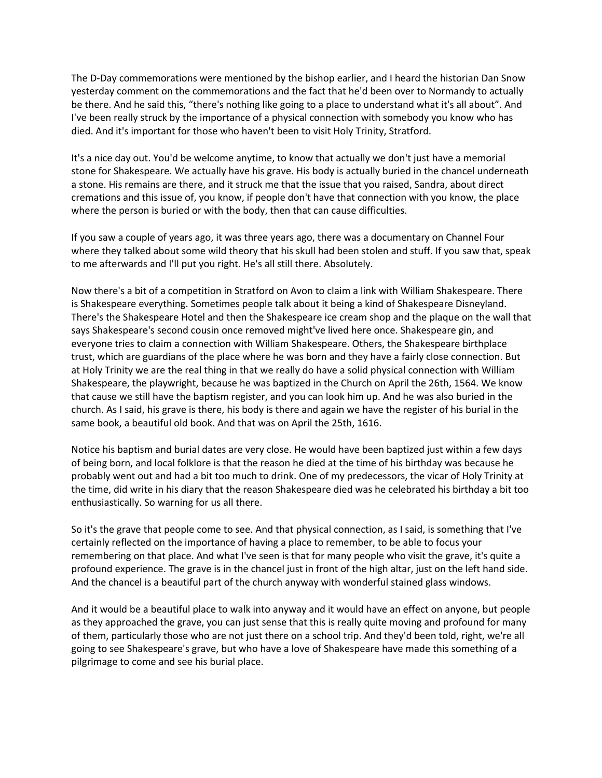The D-Day commemorations were mentioned by the bishop earlier, and I heard the historian Dan Snow yesterday comment on the commemorations and the fact that he'd been over to Normandy to actually be there. And he said this, "there's nothing like going to a place to understand what it's all about". And I've been really struck by the importance of a physical connection with somebody you know who has died. And it's important for those who haven't been to visit Holy Trinity, Stratford.

It's a nice day out. You'd be welcome anytime, to know that actually we don't just have a memorial stone for Shakespeare. We actually have his grave. His body is actually buried in the chancel underneath a stone. His remains are there, and it struck me that the issue that you raised, Sandra, about direct cremations and this issue of, you know, if people don't have that connection with you know, the place where the person is buried or with the body, then that can cause difficulties.

If you saw a couple of years ago, it was three years ago, there was a documentary on Channel Four where they talked about some wild theory that his skull had been stolen and stuff. If you saw that, speak to me afterwards and I'll put you right. He's all still there. Absolutely.

Now there's a bit of a competition in Stratford on Avon to claim a link with William Shakespeare. There is Shakespeare everything. Sometimes people talk about it being a kind of Shakespeare Disneyland. There's the Shakespeare Hotel and then the Shakespeare ice cream shop and the plaque on the wall that says Shakespeare's second cousin once removed might've lived here once. Shakespeare gin, and everyone tries to claim a connection with William Shakespeare. Others, the Shakespeare birthplace trust, which are guardians of the place where he was born and they have a fairly close connection. But at Holy Trinity we are the real thing in that we really do have a solid physical connection with William Shakespeare, the playwright, because he was baptized in the Church on April the 26th, 1564. We know that cause we still have the baptism register, and you can look him up. And he was also buried in the church. As I said, his grave is there, his body is there and again we have the register of his burial in the same book, a beautiful old book. And that was on April the 25th, 1616.

Notice his baptism and burial dates are very close. He would have been baptized just within a few days of being born, and local folklore is that the reason he died at the time of his birthday was because he probably went out and had a bit too much to drink. One of my predecessors, the vicar of Holy Trinity at the time, did write in his diary that the reason Shakespeare died was he celebrated his birthday a bit too enthusiastically. So warning for us all there.

So it's the grave that people come to see. And that physical connection, as I said, is something that I've certainly reflected on the importance of having a place to remember, to be able to focus your remembering on that place. And what I've seen is that for many people who visit the grave, it's quite a profound experience. The grave is in the chancel just in front of the high altar, just on the left hand side. And the chancel is a beautiful part of the church anyway with wonderful stained glass windows.

And it would be a beautiful place to walk into anyway and it would have an effect on anyone, but people as they approached the grave, you can just sense that this is really quite moving and profound for many of them, particularly those who are not just there on a school trip. And they'd been told, right, we're all going to see Shakespeare's grave, but who have a love of Shakespeare have made this something of a pilgrimage to come and see his burial place.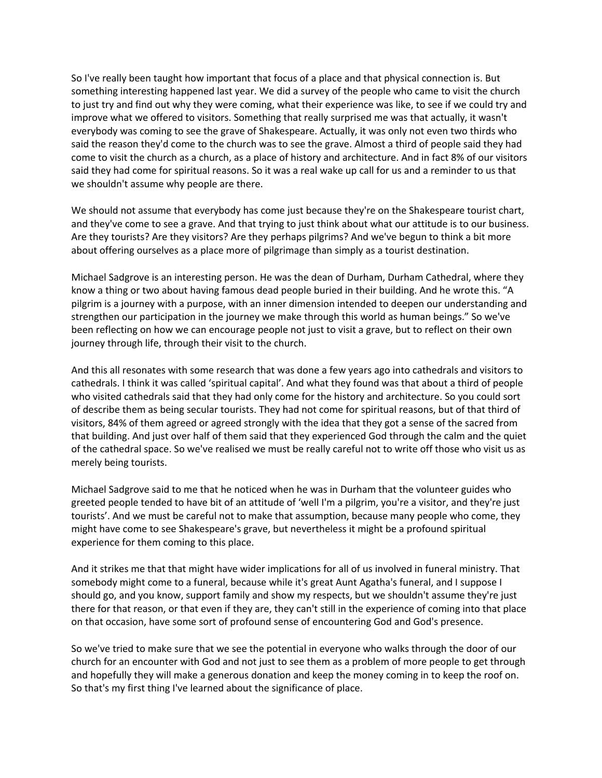So I've really been taught how important that focus of a place and that physical connection is. But something interesting happened last year. We did a survey of the people who came to visit the church to just try and find out why they were coming, what their experience was like, to see if we could try and improve what we offered to visitors. Something that really surprised me was that actually, it wasn't everybody was coming to see the grave of Shakespeare. Actually, it was only not even two thirds who said the reason they'd come to the church was to see the grave. Almost a third of people said they had come to visit the church as a church, as a place of history and architecture. And in fact 8% of our visitors said they had come for spiritual reasons. So it was a real wake up call for us and a reminder to us that we shouldn't assume why people are there.

We should not assume that everybody has come just because they're on the Shakespeare tourist chart, and they've come to see a grave. And that trying to just think about what our attitude is to our business. Are they tourists? Are they visitors? Are they perhaps pilgrims? And we've begun to think a bit more about offering ourselves as a place more of pilgrimage than simply as a tourist destination.

Michael Sadgrove is an interesting person. He was the dean of Durham, Durham Cathedral, where they know a thing or two about having famous dead people buried in their building. And he wrote this. "A pilgrim is a journey with a purpose, with an inner dimension intended to deepen our understanding and strengthen our participation in the journey we make through this world as human beings." So we've been reflecting on how we can encourage people not just to visit a grave, but to reflect on their own journey through life, through their visit to the church.

And this all resonates with some research that was done a few years ago into cathedrals and visitors to cathedrals. I think it was called 'spiritual capital'. And what they found was that about a third of people who visited cathedrals said that they had only come for the history and architecture. So you could sort of describe them as being secular tourists. They had not come for spiritual reasons, but of that third of visitors, 84% of them agreed or agreed strongly with the idea that they got a sense of the sacred from that building. And just over half of them said that they experienced God through the calm and the quiet of the cathedral space. So we've realised we must be really careful not to write off those who visit us as merely being tourists.

Michael Sadgrove said to me that he noticed when he was in Durham that the volunteer guides who greeted people tended to have bit of an attitude of 'well I'm a pilgrim, you're a visitor, and they're just tourists'. And we must be careful not to make that assumption, because many people who come, they might have come to see Shakespeare's grave, but nevertheless it might be a profound spiritual experience for them coming to this place.

And it strikes me that that might have wider implications for all of us involved in funeral ministry. That somebody might come to a funeral, because while it's great Aunt Agatha's funeral, and I suppose I should go, and you know, support family and show my respects, but we shouldn't assume they're just there for that reason, or that even if they are, they can't still in the experience of coming into that place on that occasion, have some sort of profound sense of encountering God and God's presence.

So we've tried to make sure that we see the potential in everyone who walks through the door of our church for an encounter with God and not just to see them as a problem of more people to get through and hopefully they will make a generous donation and keep the money coming in to keep the roof on. So that's my first thing I've learned about the significance of place.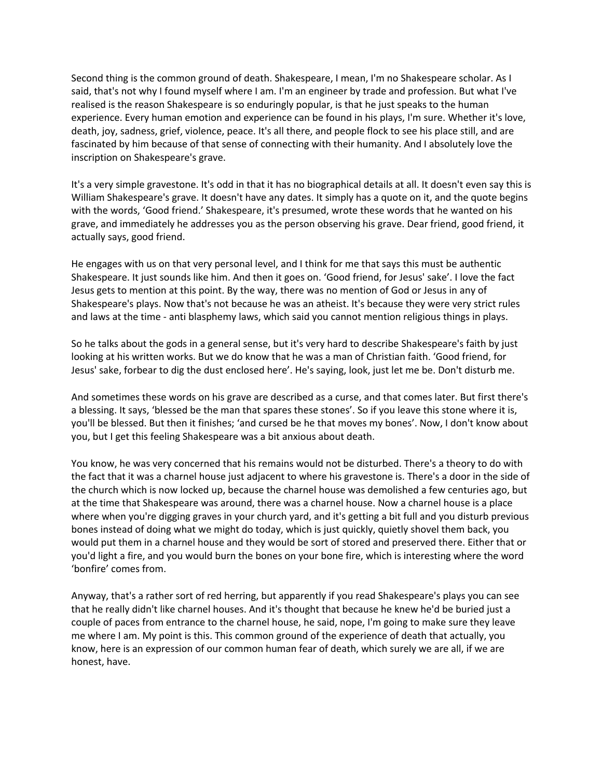Second thing is the common ground of death. Shakespeare, I mean, I'm no Shakespeare scholar. As I said, that's not why I found myself where I am. I'm an engineer by trade and profession. But what I've realised is the reason Shakespeare is so enduringly popular, is that he just speaks to the human experience. Every human emotion and experience can be found in his plays, I'm sure. Whether it's love, death, joy, sadness, grief, violence, peace. It's all there, and people flock to see his place still, and are fascinated by him because of that sense of connecting with their humanity. And I absolutely love the inscription on Shakespeare's grave.

It's a very simple gravestone. It's odd in that it has no biographical details at all. It doesn't even say this is William Shakespeare's grave. It doesn't have any dates. It simply has a quote on it, and the quote begins with the words, 'Good friend.' Shakespeare, it's presumed, wrote these words that he wanted on his grave, and immediately he addresses you as the person observing his grave. Dear friend, good friend, it actually says, good friend.

He engages with us on that very personal level, and I think for me that says this must be authentic Shakespeare. It just sounds like him. And then it goes on. 'Good friend, for Jesus' sake'. I love the fact Jesus gets to mention at this point. By the way, there was no mention of God or Jesus in any of Shakespeare's plays. Now that's not because he was an atheist. It's because they were very strict rules and laws at the time - anti blasphemy laws, which said you cannot mention religious things in plays.

So he talks about the gods in a general sense, but it's very hard to describe Shakespeare's faith by just looking at his written works. But we do know that he was a man of Christian faith. 'Good friend, for Jesus' sake, forbear to dig the dust enclosed here'. He's saying, look, just let me be. Don't disturb me.

And sometimes these words on his grave are described as a curse, and that comes later. But first there's a blessing. It says, 'blessed be the man that spares these stones'. So if you leave this stone where it is, you'll be blessed. But then it finishes; 'and cursed be he that moves my bones'. Now, I don't know about you, but I get this feeling Shakespeare was a bit anxious about death.

You know, he was very concerned that his remains would not be disturbed. There's a theory to do with the fact that it was a charnel house just adjacent to where his gravestone is. There's a door in the side of the church which is now locked up, because the charnel house was demolished a few centuries ago, but at the time that Shakespeare was around, there was a charnel house. Now a charnel house is a place where when you're digging graves in your church yard, and it's getting a bit full and you disturb previous bones instead of doing what we might do today, which is just quickly, quietly shovel them back, you would put them in a charnel house and they would be sort of stored and preserved there. Either that or you'd light a fire, and you would burn the bones on your bone fire, which is interesting where the word 'bonfire' comes from.

Anyway, that's a rather sort of red herring, but apparently if you read Shakespeare's plays you can see that he really didn't like charnel houses. And it's thought that because he knew he'd be buried just a couple of paces from entrance to the charnel house, he said, nope, I'm going to make sure they leave me where I am. My point is this. This common ground of the experience of death that actually, you know, here is an expression of our common human fear of death, which surely we are all, if we are honest, have.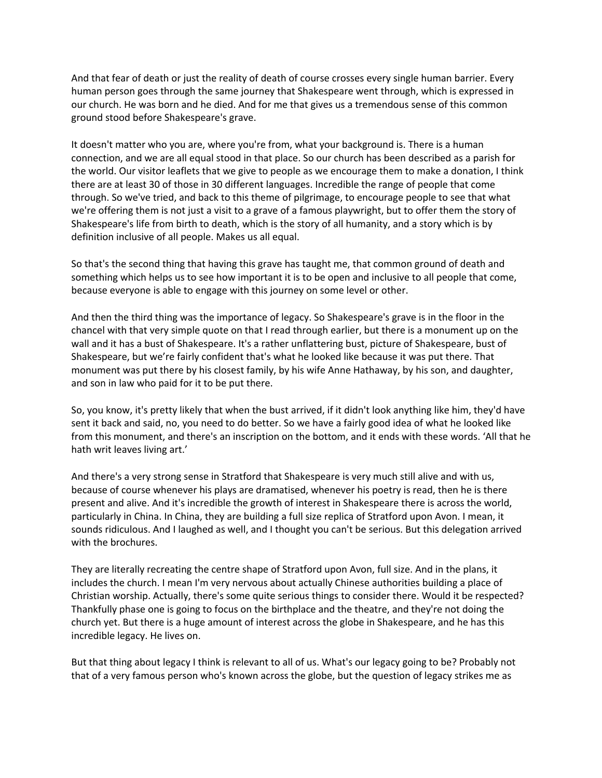And that fear of death or just the reality of death of course crosses every single human barrier. Every human person goes through the same journey that Shakespeare went through, which is expressed in our church. He was born and he died. And for me that gives us a tremendous sense of this common ground stood before Shakespeare's grave.

It doesn't matter who you are, where you're from, what your background is. There is a human connection, and we are all equal stood in that place. So our church has been described as a parish for the world. Our visitor leaflets that we give to people as we encourage them to make a donation, I think there are at least 30 of those in 30 different languages. Incredible the range of people that come through. So we've tried, and back to this theme of pilgrimage, to encourage people to see that what we're offering them is not just a visit to a grave of a famous playwright, but to offer them the story of Shakespeare's life from birth to death, which is the story of all humanity, and a story which is by definition inclusive of all people. Makes us all equal.

So that's the second thing that having this grave has taught me, that common ground of death and something which helps us to see how important it is to be open and inclusive to all people that come, because everyone is able to engage with this journey on some level or other.

And then the third thing was the importance of legacy. So Shakespeare's grave is in the floor in the chancel with that very simple quote on that I read through earlier, but there is a monument up on the wall and it has a bust of Shakespeare. It's a rather unflattering bust, picture of Shakespeare, bust of Shakespeare, but we're fairly confident that's what he looked like because it was put there. That monument was put there by his closest family, by his wife Anne Hathaway, by his son, and daughter, and son in law who paid for it to be put there.

So, you know, it's pretty likely that when the bust arrived, if it didn't look anything like him, they'd have sent it back and said, no, you need to do better. So we have a fairly good idea of what he looked like from this monument, and there's an inscription on the bottom, and it ends with these words. 'All that he hath writ leaves living art.'

And there's a very strong sense in Stratford that Shakespeare is very much still alive and with us, because of course whenever his plays are dramatised, whenever his poetry is read, then he is there present and alive. And it's incredible the growth of interest in Shakespeare there is across the world, particularly in China. In China, they are building a full size replica of Stratford upon Avon. I mean, it sounds ridiculous. And I laughed as well, and I thought you can't be serious. But this delegation arrived with the brochures.

They are literally recreating the centre shape of Stratford upon Avon, full size. And in the plans, it includes the church. I mean I'm very nervous about actually Chinese authorities building a place of Christian worship. Actually, there's some quite serious things to consider there. Would it be respected? Thankfully phase one is going to focus on the birthplace and the theatre, and they're not doing the church yet. But there is a huge amount of interest across the globe in Shakespeare, and he has this incredible legacy. He lives on.

But that thing about legacy I think is relevant to all of us. What's our legacy going to be? Probably not that of a very famous person who's known across the globe, but the question of legacy strikes me as